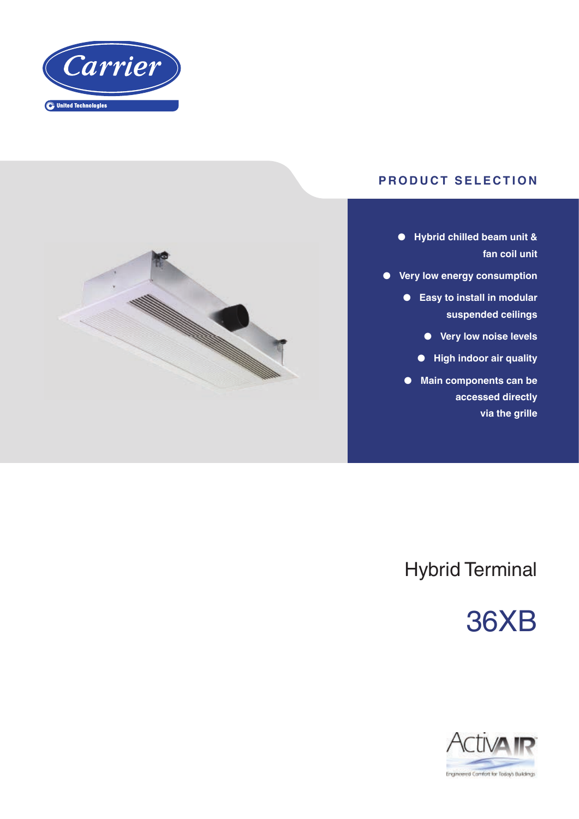

### **PRODUCT SELECTION**

- **● Hybrid chilled beam unit & fan coil unit**
- **● Very low energy consumption**
	- **● Easy to install in modular suspended ceilings**
		- **● Very low noise levels**
		- **● High indoor air quality**
	- **● Main components can be accessed directly via the grille**



## Hybrid Terminal

# 36XB

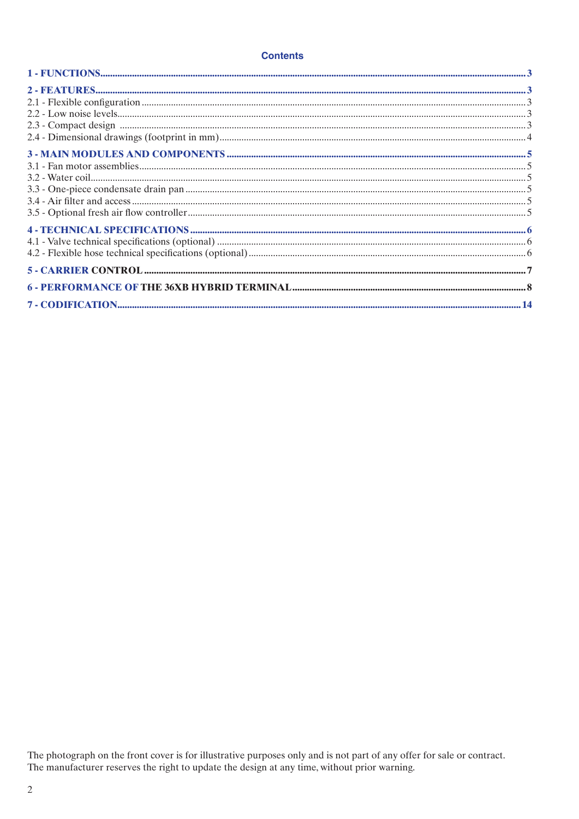#### **Contents**

The photograph on the front cover is for illustrative purposes only and is not part of any offer for sale or contract.<br>The manufacturer reserves the right to update the design at any time, without prior warning.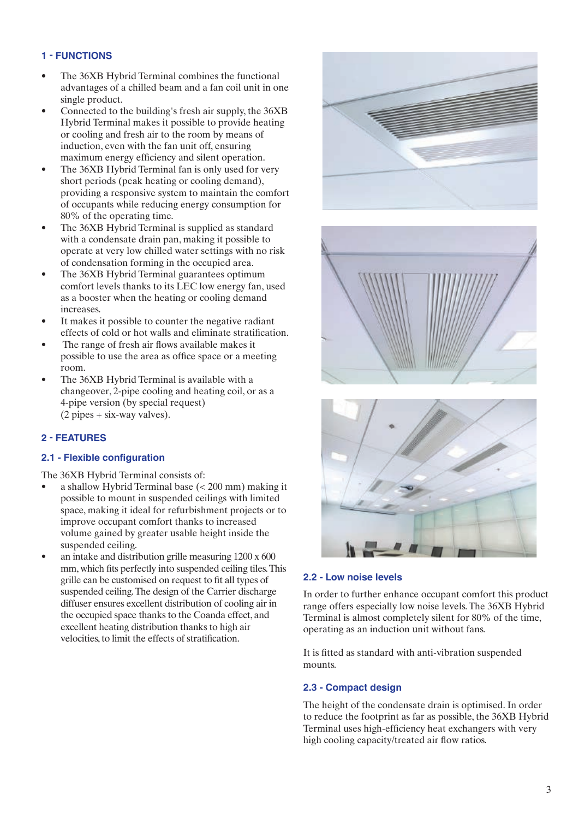#### **1 - FUNCTIONS**

- The 36XB Hybrid Terminal combines the functional advantages of a chilled beam and a fan coil unit in one single product.
- Connected to the building's fresh air supply, the 36XB Hybrid Terminal makes it possible to provide heating or cooling and fresh air to the room by means of induction, even with the fan unit off, ensuring maximum energy efficiency and silent operation.
- The 36XB Hybrid Terminal fan is only used for very short periods (peak heating or cooling demand), providing a responsive system to maintain the comfort of occupants while reducing energy consumption for 80% of the operating time.
- The 36XB Hybrid Terminal is supplied as standard with a condensate drain pan, making it possible to operate at very low chilled water settings with no risk of condensation forming in the occupied area.
- The 36XB Hybrid Terminal guarantees optimum comfort levels thanks to its LEC low energy fan, used as a booster when the heating or cooling demand increases.
- It makes it possible to counter the negative radiant effects of cold or hot walls and eliminate stratification.
- The range of fresh air flows available makes it possible to use the area as office space or a meeting room.
- The 36XB Hybrid Terminal is available with a changeover, 2-pipe cooling and heating coil, or as a 4-pipe version (by special request) (2 pipes + six-way valves).

#### **2 - FEATURES**

#### **2.1 - Flexible configuration**

The 36XB Hybrid Terminal consists of:

- a shallow Hybrid Terminal base (< 200 mm) making it possible to mount in suspended ceilings with limited space, making it ideal for refurbishment projects or to improve occupant comfort thanks to increased volume gained by greater usable height inside the suspended ceiling.
- an intake and distribution grille measuring 1200 x 600 mm, which fits perfectly into suspended ceiling tiles. This grille can be customised on request to fit all types of suspended ceiling. The design of the Carrier discharge diffuser ensures excellent distribution of cooling air in the occupied space thanks to the Coanda effect, and excellent heating distribution thanks to high air velocities, to limit the effects of stratification.







#### **2.2 - Low noise levels**

In order to further enhance occupant comfort this product range offers especially low noise levels. The 36XB Hybrid Terminal is almost completely silent for 80% of the time, operating as an induction unit without fans.

It is fitted as standard with anti-vibration suspended mounts.

#### **2.3 - Compact design**

The height of the condensate drain is optimised. In order to reduce the footprint as far as possible, the 36XB Hybrid Terminal uses high-efficiency heat exchangers with very high cooling capacity/treated air flow ratios.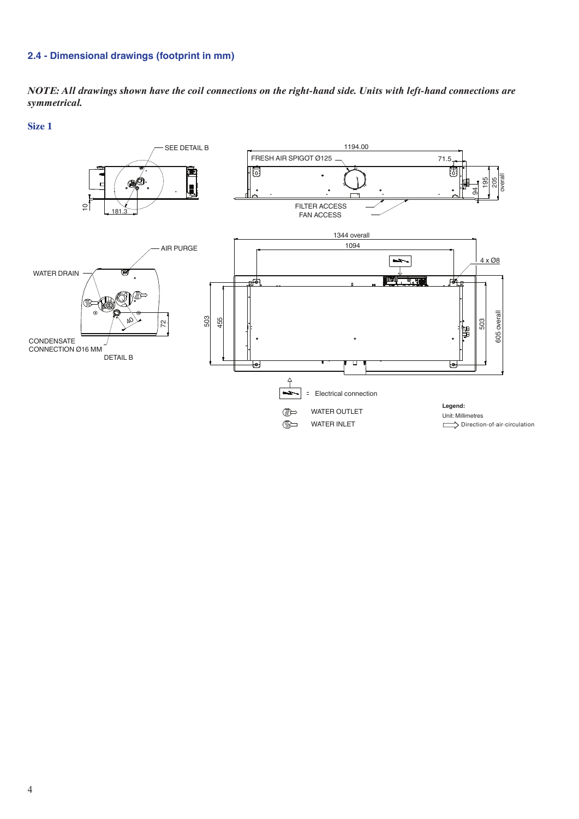#### **2.4 - Dimensional drawings (footprint in mm)**

*NOTE: All drawings shown have the coil connections on the right-hand side. Units with left-hand connections are symmetrical.*

**Size 1** 

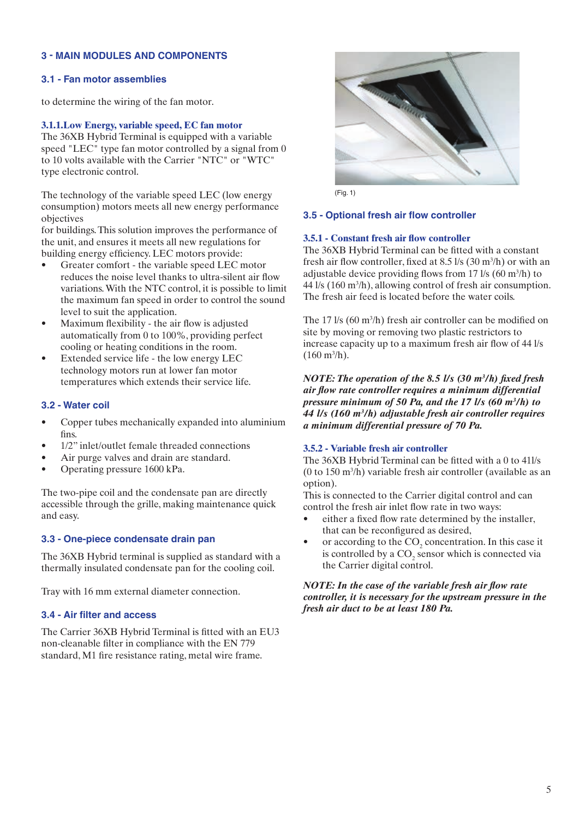#### **3 - Main modules and components**

#### **3.1 - Fan motor assemblies**

to determine the wiring of the fan motor.

#### **3.1.1.Low Energy, variable speed, EC fan motor**

The 36XB Hybrid Terminal is equipped with a variable speed "LEC" type fan motor controlled by a signal from 0 to 10 volts available with the Carrier "NTC" or "WTC" type electronic control.

The technology of the variable speed LEC (low energy consumption) motors meets all new energy performance objectives

for buildings. This solution improves the performance of the unit, and ensures it meets all new regulations for building energy efficiency. LEC motors provide:

- Greater comfort the variable speed LEC motor reduces the noise level thanks to ultra-silent air flow variations. With the NTC control, it is possible to limit the maximum fan speed in order to control the sound level to suit the application.
- Maximum flexibility the air flow is adjusted automatically from 0 to 100%, providing perfect cooling or heating conditions in the room.
- Extended service life the low energy LEC technology motors run at lower fan motor temperatures which extends their service life.

#### **3.2 - Water coil**

- Copper tubes mechanically expanded into aluminium fins.
- 1/2" inlet/outlet female threaded connections
- Air purge valves and drain are standard.
- Operating pressure 1600 kPa.

The two-pipe coil and the condensate pan are directly accessible through the grille, making maintenance quick and easy.

#### **3.3 - One-piece condensate drain pan**

The 36XB Hybrid terminal is supplied as standard with a thermally insulated condensate pan for the cooling coil.

Tray with 16 mm external diameter connection.

#### **3.4 - Air filter and access**

The Carrier 36XB Hybrid Terminal is fitted with an EU3 non-cleanable filter in compliance with the EN 779 standard, M1 fire resistance rating, metal wire frame.



(Fig. 1)

#### **3.5 - Optional fresh air flow controller**

#### **3.5.1 - Constant fresh air flow controller**

The 36XB Hybrid Terminal can be fitted with a constant fresh air flow controller, fixed at 8.5  $\frac{1}{s}$  (30 m<sup>3</sup>/h) or with an adjustable device providing flows from 17  $\frac{1}{s}$  (60 m<sup>3</sup>/h) to 44 l/s (160 m3 /h), allowing control of fresh air consumption. The fresh air feed is located before the water coils.

The 17 l/s (60 m<sup>3</sup>/h) fresh air controller can be modified on site by moving or removing two plastic restrictors to increase capacity up to a maximum fresh air flow of 44 l/s  $(160 \text{ m}^3/\text{h})$ .

*NOTE: The operation of the 8.5 l/s (30 m3 /h) fixed fresh air flow rate controller requires a minimum differential pressure minimum of 50 Pa, and the 17 l/s (60 m<sup>3</sup> /h) to 44 l/s (160 m<sup>3</sup> /h) adjustable fresh air controller requires a minimum differential pressure of 70 Pa.*

#### **3.5.2 - Variable fresh air controller**

The 36XB Hybrid Terminal can be fitted with a 0 to 41l/s (0 to 150 m3 /h) variable fresh air controller (available as an option).

This is connected to the Carrier digital control and can control the fresh air inlet flow rate in two ways:

- either a fixed flow rate determined by the installer, that can be reconfigured as desired,
- or according to the  $CO_2$  concentration. In this case it is controlled by a  $CO_2$  sensor which is connected via the Carrier digital control.

#### *NOTE: In the case of the variable fresh air flow rate controller, it is necessary for the upstream pressure in the fresh air duct to be at least 180 Pa.*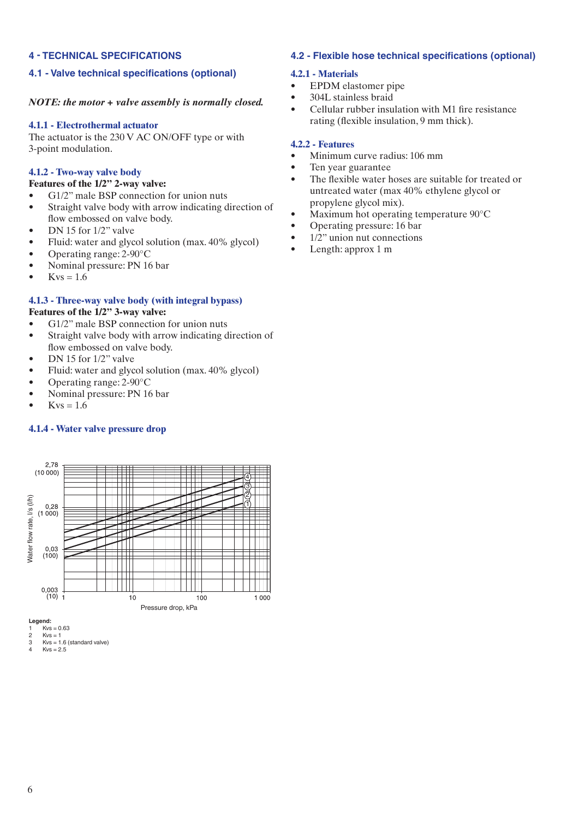#### **4 - Technical specifications**

#### **4.1 - Valve technical specifications (optional)**

#### *NOTE: the motor + valve assembly is normally closed.*

#### **4.1.1 - Electrothermal actuator**

The actuator is the 230 V AC ON/OFF type or with 3-point modulation.

#### **4.1.2 - Two-way valve body**

#### **Features of the 1/2" 2-way valve:**

- G1/2" male BSP connection for union nuts
- Straight valve body with arrow indicating direction of flow embossed on valve body.
- DN 15 for 1/2" valve
- Fluid: water and glycol solution (max. 40% glycol)
- Operating range: 2-90°C
- Nominal pressure: PN 16 bar
- Kvs =  $1.6$

#### **4.1.3 - Three-way valve body (with integral bypass)**

#### **Features of the 1/2" 3-way valve:**

- G1/2" male BSP connection for union nuts
- Straight valve body with arrow indicating direction of flow embossed on valve body.
- DN 15 for 1/2" valve
- Fluid: water and glycol solution (max. 40% glycol)
- Operating range: 2-90°C
- Nominal pressure: PN 16 bar
- Kvs =  $1.6$

#### **4.1.4 - Water valve pressure drop**



**Legend:**

1  $Kvs = 0.63$ <br>2  $Kvs = 1$ 

#### **4.2 - Flexible hose technical specifications (optional)**

#### **4.2.1 - Materials**

- EPDM elastomer pipe
- 304L stainless braid
- Cellular rubber insulation with M1 fire resistance rating (flexible insulation, 9 mm thick).

#### **4.2.2 - Features**

- Minimum curve radius: 106 mm
- Ten year guarantee
- The flexible water hoses are suitable for treated or untreated water (max 40% ethylene glycol or propylene glycol mix).
- Maximum hot operating temperature 90°C
- Operating pressure: 16 bar
- $1/2$ " union nut connections
- Length: approx 1 m

<sup>2</sup>  $Kvs = 1$ <br>3  $Kvs = 1$  $\frac{3}{4}$  Kvs = 1.6 (standard valve)

 $Kvs = 2.5$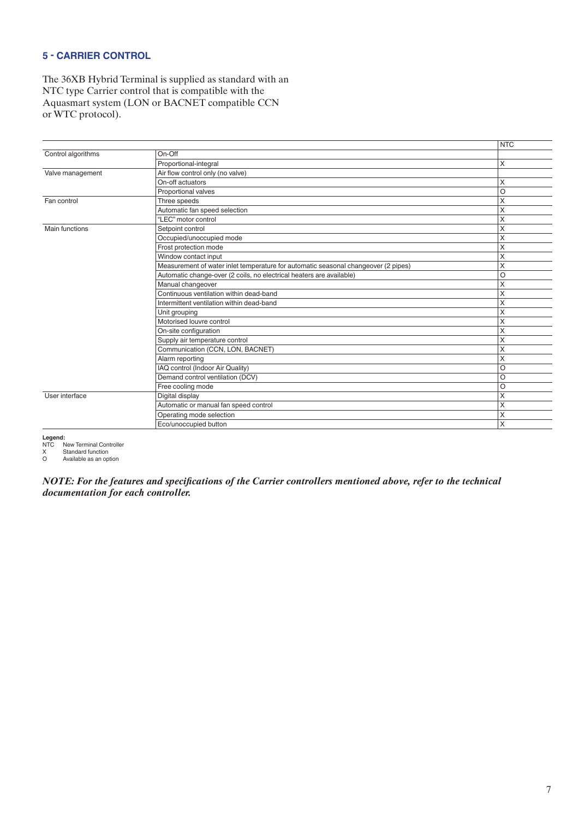#### **5 - CARRIER CONTROL**

The 36XB Hybrid Terminal is supplied as standard with an NTC type Carrier control that is compatible with the Aquasmart system (LON or BACNET compatible CCN or WTC protocol).

|                    |                                                                                    | <b>NTC</b> |
|--------------------|------------------------------------------------------------------------------------|------------|
| Control algorithms | On-Off                                                                             |            |
|                    | Proportional-integral                                                              | X          |
| Valve management   | Air flow control only (no valve)                                                   |            |
|                    | On-off actuators                                                                   | Χ          |
|                    | Proportional valves                                                                | O          |
| Fan control        | Three speeds                                                                       | X          |
|                    | Automatic fan speed selection                                                      | X          |
|                    | "LEC" motor control                                                                | X          |
| Main functions     | Setpoint control                                                                   | X          |
|                    | Occupied/unoccupied mode                                                           | X          |
|                    | Frost protection mode                                                              | X          |
|                    | Window contact input                                                               | Χ          |
|                    | Measurement of water inlet temperature for automatic seasonal changeover (2 pipes) | X          |
|                    | Automatic change-over (2 coils, no electrical heaters are available)               | O          |
|                    | Manual changeover                                                                  | X          |
|                    | Continuous ventilation within dead-band                                            | X          |
|                    | Intermittent ventilation within dead-band                                          | Χ          |
|                    | Unit grouping                                                                      | X          |
|                    | Motorised louvre control                                                           | X          |
|                    | On-site configuration                                                              | X          |
|                    | Supply air temperature control                                                     | X          |
|                    | Communication (CCN, LON, BACNET)                                                   | X          |
|                    | Alarm reporting                                                                    | Χ          |
|                    | IAQ control (Indoor Air Quality)                                                   | $\circ$    |
|                    | Demand control ventilation (DCV)                                                   | O          |
|                    | Free cooling mode                                                                  | O          |
| User interface     | Digital display                                                                    | X          |
|                    | Automatic or manual fan speed control                                              | X          |
|                    | Operating mode selection                                                           | X          |
|                    | Eco/unoccupied button                                                              | X          |

Legend:<br>NTC |

NTC New Terminal Controller<br>X Standard function<br>O Available as an option

X Standard function O Available as an option

*NOTE: For the features and specifications of the Carrier controllers mentioned above, refer to the technical documentation for each controller.*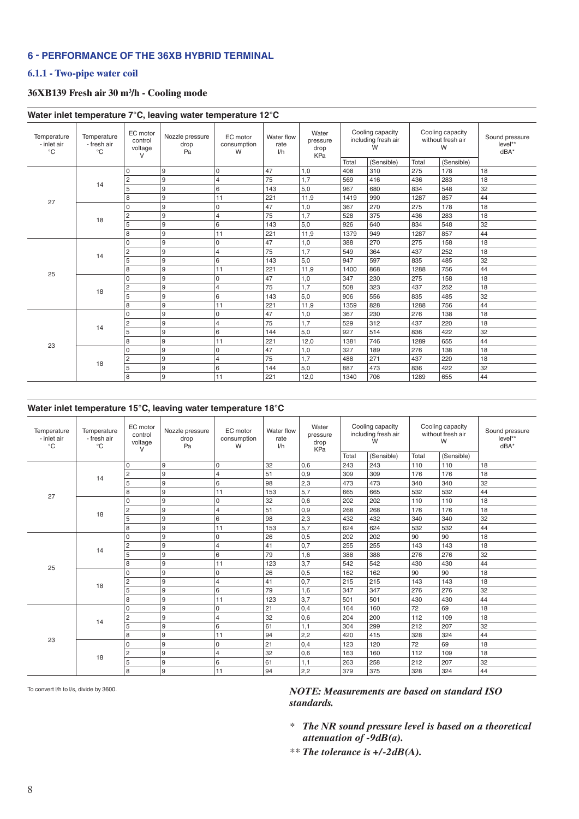#### **6 - PERFORMANCE OF The 36XB Hybrid Terminal**

#### **6.1.1 - Two-pipe water coil**

#### **36XB139 Fresh air 30 m3 /h - Cooling mode**

|                                            |                                            |                                          | Water inlet temperature 7°C, leaving water temperature 12°C |                              |                           |                                  |                                              |            |                                            |            |                                     |
|--------------------------------------------|--------------------------------------------|------------------------------------------|-------------------------------------------------------------|------------------------------|---------------------------|----------------------------------|----------------------------------------------|------------|--------------------------------------------|------------|-------------------------------------|
| Temperature<br>- inlet air<br>$^{\circ}$ C | Temperature<br>- fresh air<br>$^{\circ}$ C | EC motor<br>control<br>voltage<br>$\vee$ | Nozzle pressure<br>drop<br>Pa                               | EC motor<br>consumption<br>W | Water flow<br>rate<br>1/h | Water<br>pressure<br>drop<br>KPa | Cooling capacity<br>including fresh air<br>W |            | Cooling capacity<br>without fresh air<br>W |            | Sound pressure<br>level**<br>$dBA*$ |
|                                            |                                            |                                          |                                                             |                              |                           |                                  | Total                                        | (Sensible) | Total                                      | (Sensible) |                                     |
|                                            |                                            | $\mathbf 0$                              | 9                                                           | 0                            | 47                        | 1,0                              | 408                                          | 310        | 275                                        | 178        | 18                                  |
|                                            | 14                                         | $\overline{2}$                           | 9                                                           | $\overline{4}$               | 75                        | 1.7                              | 569                                          | 416        | 436                                        | 283        | 18                                  |
|                                            |                                            | 5                                        | 9                                                           | 6                            | 143                       | 5,0                              | 967                                          | 680        | 834                                        | 548        | 32                                  |
| 27                                         |                                            | 8                                        | 9                                                           | 11                           | 221                       | 11.9                             | 1419                                         | 990        | 1287                                       | 857        | 44                                  |
|                                            |                                            | $\mathbf 0$                              | 9                                                           | 0                            | 47                        | 1,0                              | 367                                          | 270        | 275                                        | 178        | 18                                  |
|                                            | 18                                         | $\overline{c}$                           | 9                                                           | $\overline{4}$               | 75                        | 1,7                              | 528                                          | 375        | 436                                        | 283        | 18                                  |
|                                            |                                            | 5                                        | 9                                                           | 6                            | 143                       | 5,0                              | 926                                          | 640        | 834                                        | 548        | 32                                  |
|                                            |                                            | 8                                        | 9                                                           | 11                           | 221                       | 11,9                             | 1379                                         | 949        | 1287                                       | 857        | 44                                  |
|                                            |                                            | $\Omega$                                 | 9                                                           | 0                            | 47                        | 1,0                              | 388                                          | 270        | 275                                        | 158        | 18                                  |
|                                            |                                            | $\overline{c}$                           | 9                                                           | $\overline{4}$               | 75                        | 1,7                              | 549                                          | 364        | 437                                        | 252        | 18                                  |
|                                            | 14                                         | 5                                        | 9                                                           | 6                            | 143                       | 5,0                              | 947                                          | 597        | 835                                        | 485        | 32                                  |
|                                            |                                            | 8                                        | 9                                                           | 11                           | 221                       | 11.9                             | 1400                                         | 868        | 1288                                       | 756        | 44                                  |
| 25                                         |                                            | $\Omega$                                 | 9                                                           | 0                            | 47                        | 1,0                              | 347                                          | 230        | 275                                        | 158        | 18                                  |
|                                            |                                            | $\overline{c}$                           | 9                                                           | $\overline{4}$               | 75                        | 1,7                              | 508                                          | 323        | 437                                        | 252        | 18                                  |
|                                            | 18                                         | 5                                        | 9                                                           | 6                            | 143                       | 5,0                              | 906                                          | 556        | 835                                        | 485        | 32                                  |
|                                            |                                            | 8                                        | 9                                                           | 11                           | 221                       | 11,9                             | 1359                                         | 828        | 1288                                       | 756        | 44                                  |
|                                            |                                            | $\mathbf 0$                              | 9                                                           | 0                            | 47                        | 1,0                              | 367                                          | 230        | 276                                        | 138        | 18                                  |
|                                            |                                            | $\overline{c}$                           | 9                                                           | $\overline{4}$               | 75                        | 1,7                              | 529                                          | 312        | 437                                        | 220        | 18                                  |
|                                            | 14                                         | 5                                        | 9                                                           | 6                            | 144                       | 5,0                              | 927                                          | 514        | 836                                        | 422        | 32                                  |
|                                            |                                            | 8                                        | 9                                                           | 11                           | 221                       | 12,0                             | 1381                                         | 746        | 1289                                       | 655        | 44                                  |
| 23                                         |                                            | $\Omega$                                 | 9                                                           | 0                            | 47                        | 1,0                              | 327                                          | 189        | 276                                        | 138        | 18                                  |
|                                            |                                            | $\overline{c}$                           | 9                                                           | $\overline{4}$               | 75                        | 1,7                              | 488                                          | 271        | 437                                        | 220        | 18                                  |
|                                            | 18                                         | 5                                        | 9                                                           | 6                            | 144                       | 5,0                              | 887                                          | 473        | 836                                        | 422        | 32                                  |
|                                            |                                            | 8                                        | 9                                                           | 11                           | 221                       | 12,0                             | 1340                                         | 706        | 1289                                       | 655        | 44                                  |

#### **Water inlet temperature 15°C, leaving water temperature 18°C**

| Temperature<br>- inlet air<br>°C | Temperature<br>- fresh air<br>$^{\circ}C$ | EC motor<br>control<br>voltage<br>V | Nozzle pressure<br>drop<br>Pa | EC motor<br>consumption<br>W | Water flow<br>rate<br>1/h | Water<br>pressure<br>drop<br>KPa |       | Cooling capacity<br>including fresh air<br>W |       | Cooling capacity<br>without fresh air<br>W | Sound pressure<br>level**<br>$dBA*$ |
|----------------------------------|-------------------------------------------|-------------------------------------|-------------------------------|------------------------------|---------------------------|----------------------------------|-------|----------------------------------------------|-------|--------------------------------------------|-------------------------------------|
|                                  |                                           |                                     |                               |                              |                           |                                  | Total | (Sensible)                                   | Total | (Sensible)                                 |                                     |
|                                  |                                           | $\mathbf 0$                         | 9                             | 0                            | 32                        | 0,6                              | 243   | 243                                          | 110   | 110                                        | 18                                  |
|                                  | 14                                        | $\overline{c}$                      | 9                             | $\overline{4}$               | 51                        | 0,9                              | 309   | 309                                          | 176   | 176                                        | 18                                  |
|                                  |                                           | 5                                   | 9                             | 6                            | 98                        | 2,3                              | 473   | 473                                          | 340   | 340                                        | 32                                  |
| 27                               |                                           | 8                                   | 9                             | 11                           | 153                       | 5,7                              | 665   | 665                                          | 532   | 532                                        | 44                                  |
|                                  |                                           | $\mathbf 0$                         | 9                             | 0                            | 32                        | 0,6                              | 202   | 202                                          | 110   | 110                                        | 18                                  |
|                                  | 18                                        | $\overline{c}$                      | 9                             | 4                            | 51                        | 0,9                              | 268   | 268                                          | 176   | 176                                        | 18                                  |
|                                  |                                           | 5                                   | 9                             | 6                            | 98                        | 2,3                              | 432   | 432                                          | 340   | 340                                        | 32                                  |
|                                  |                                           | 8                                   | 9                             | 11                           | 153                       | 5,7                              | 624   | 624                                          | 532   | 532                                        | 44                                  |
|                                  |                                           | $\mathbf 0$                         | 9                             | 0                            | 26                        | 0,5                              | 202   | 202                                          | 90    | 90                                         | 18                                  |
|                                  | 14                                        | $\overline{c}$                      | 9                             | 4                            | 41                        | 0,7                              | 255   | 255                                          | 143   | 143                                        | 18                                  |
|                                  |                                           | 5                                   | 9                             | 6                            | 79                        | 1,6                              | 388   | 388                                          | 276   | 276                                        | 32                                  |
|                                  |                                           | 8                                   | 9                             | 11                           | 123                       | 3,7                              | 542   | 542                                          | 430   | 430                                        | 44                                  |
| 25                               |                                           | $\mathbf 0$                         | 9                             | 0                            | 26                        | 0,5                              | 162   | 162                                          | 90    | 90                                         | 18                                  |
|                                  |                                           | $\overline{2}$                      | 9                             | 4                            | 41                        | 0,7                              | 215   | 215                                          | 143   | 143                                        | 18                                  |
|                                  | 18                                        | 5                                   | 9                             | 6                            | 79                        | 1,6                              | 347   | 347                                          | 276   | 276                                        | 32                                  |
|                                  |                                           | 8                                   | 9                             | 11                           | 123                       | 3,7                              | 501   | 501                                          | 430   | 430                                        | 44                                  |
|                                  |                                           | $\mathbf 0$                         | 9                             | 0                            | 21                        | 0,4                              | 164   | 160                                          | 72    | 69                                         | 18                                  |
|                                  |                                           | $\overline{c}$                      | $\boldsymbol{9}$              | 4                            | 32                        | 0,6                              | 204   | 200                                          | 112   | 109                                        | 18                                  |
|                                  | 14                                        | 5                                   | 9                             | 6                            | 61                        | 1,1                              | 304   | 299                                          | 212   | 207                                        | 32                                  |
| 23                               |                                           | 8                                   | 9                             | 11                           | 94                        | 2,2                              | 420   | 415                                          | 328   | 324                                        | 44                                  |
|                                  |                                           | $\Omega$                            | 9                             | 0                            | 21                        | 0,4                              | 123   | 120                                          | 72    | 69                                         | 18                                  |
|                                  |                                           | $\overline{c}$                      | $\boldsymbol{9}$              | $\overline{4}$               | 32                        | 0,6                              | 163   | 160                                          | 112   | 109                                        | 18                                  |
|                                  | 18                                        | 5                                   | 9                             | 6                            | 61                        | 1,1                              | 263   | 258                                          | 212   | 207                                        | 32                                  |
|                                  |                                           | 8                                   | 9                             | 11                           | 94                        | 2,2                              | 379   | 375                                          | 328   | 324                                        | 44                                  |

To convert l/h to l/s, divide by 3600.

- *\* The NR sound pressure level is based on a theoretical attenuation of -9dB(a).*
- *\*\* The tolerance is +/-2dB(A).*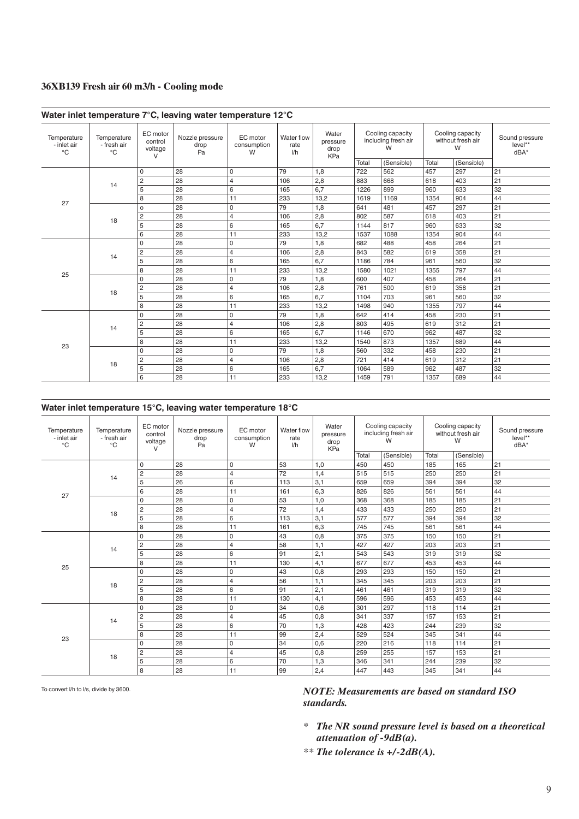#### **36XB139 Fresh air 60 m3/h - Cooling mode**

|                                            |                                  |                                          | Water inlet temperature 7°C, leaving water temperature 12°C |                              |                           |                                         |                                              |            |                                            |            |                                     |
|--------------------------------------------|----------------------------------|------------------------------------------|-------------------------------------------------------------|------------------------------|---------------------------|-----------------------------------------|----------------------------------------------|------------|--------------------------------------------|------------|-------------------------------------|
| Temperature<br>- inlet air<br>$^{\circ}$ C | Temperature<br>- fresh air<br>°C | EC motor<br>control<br>voltage<br>$\vee$ | Nozzle pressure<br>drop<br>Pa                               | EC motor<br>consumption<br>W | Water flow<br>rate<br>1/h | Water<br>pressure<br>drop<br><b>KPa</b> | Cooling capacity<br>including fresh air<br>W |            | Cooling capacity<br>without fresh air<br>W |            | Sound pressure<br>level**<br>$dBA*$ |
|                                            |                                  |                                          |                                                             |                              |                           |                                         | Total                                        | (Sensible) | Total                                      | (Sensible) |                                     |
|                                            |                                  | $\mathbf 0$                              | 28                                                          | 0                            | 79                        | 1,8                                     | 722                                          | 562        | 457                                        | 297        | 21                                  |
|                                            | 14                               | $\overline{2}$                           | 28                                                          | 4                            | 106                       | 2,8                                     | 883                                          | 668        | 618                                        | 403        | 21                                  |
|                                            |                                  | 5                                        | 28                                                          | 6                            | 165                       | 6.7                                     | 1226                                         | 899        | 960                                        | 633        | 32                                  |
| 27                                         |                                  | 8                                        | 28                                                          | 11                           | 233                       | 13,2                                    | 1619                                         | 1169       | 1354                                       | 904        | 44                                  |
|                                            |                                  | $\circ$                                  | 28                                                          | 0                            | 79                        | 1,8                                     | 641                                          | 481        | 457                                        | 297        | 21                                  |
|                                            | 18                               | $\overline{c}$                           | 28                                                          | 4                            | 106                       | 2,8                                     | 802                                          | 587        | 618                                        | 403        | 21                                  |
|                                            |                                  | 5                                        | 28                                                          | 6                            | 165                       | 6,7                                     | 1144                                         | 817        | 960                                        | 633        | 32                                  |
|                                            |                                  | 6                                        | 28                                                          | 11                           | 233                       | 13,2                                    | 1537                                         | 1088       | 1354                                       | 904        | 44                                  |
|                                            | 14                               | 0                                        | 28                                                          | 0                            | 79                        | 1,8                                     | 682                                          | 488        | 458                                        | 264        | 21                                  |
|                                            |                                  | $\overline{c}$                           | 28                                                          | 4                            | 106                       | 2,8                                     | 843                                          | 582        | 619                                        | 358        | 21                                  |
|                                            |                                  | 5                                        | 28                                                          | 6                            | 165                       | 6,7                                     | 1186                                         | 784        | 961                                        | 560        | 32                                  |
| 25                                         |                                  | 8                                        | 28                                                          | 11                           | 233                       | 13,2                                    | 1580                                         | 1021       | 1355                                       | 797        | 44                                  |
|                                            |                                  | 0                                        | 28                                                          | 0                            | 79                        | 1,8                                     | 600                                          | 407        | 458                                        | 264        | 21                                  |
|                                            |                                  | $\overline{c}$                           | 28                                                          | 4                            | 106                       | 2,8                                     | 761                                          | 500        | 619                                        | 358        | 21                                  |
|                                            | 18                               | 5                                        | 28                                                          | 6                            | 165                       | 6,7                                     | 1104                                         | 703        | 961                                        | 560        | 32                                  |
|                                            |                                  | 8                                        | 28                                                          | 11                           | 233                       | 13,2                                    | 1498                                         | 940        | 1355                                       | 797        | 44                                  |
|                                            |                                  | 0                                        | 28                                                          | 0                            | 79                        | 1,8                                     | 642                                          | 414        | 458                                        | 230        | 21                                  |
|                                            |                                  | $\overline{c}$                           | 28                                                          | 4                            | 106                       | 2,8                                     | 803                                          | 495        | 619                                        | 312        | 21                                  |
|                                            | 14                               | 5                                        | 28                                                          | 6                            | 165                       | 6,7                                     | 1146                                         | 670        | 962                                        | 487        | 32                                  |
| 23                                         |                                  | 8                                        | 28                                                          | 11                           | 233                       | 13,2                                    | 1540                                         | 873        | 1357                                       | 689        | 44                                  |
|                                            |                                  | $\Omega$                                 | 28                                                          | 0                            | 79                        | 1,8                                     | 560                                          | 332        | 458                                        | 230        | 21                                  |
|                                            |                                  | $\overline{c}$                           | 28                                                          | 4                            | 106                       | 2,8                                     | 721                                          | 414        | 619                                        | 312        | 21                                  |
|                                            | 18                               | 5                                        | 28                                                          | 6                            | 165                       | 6,7                                     | 1064                                         | 589        | 962                                        | 487        | 32                                  |
|                                            |                                  | 6                                        | 28                                                          | 11                           | 233                       | 13,2                                    | 1459                                         | 791        | 1357                                       | 689        | 44                                  |

#### **Water inlet temperature 15°C, leaving water temperature 18°C**

| Temperature<br>- inlet air<br>°C | Temperature<br>- fresh air<br>$^{\circ}$ C | EC motor<br>control<br>voltage<br>V | Nozzle pressure<br>drop<br>Pa | EC motor<br>consumption<br>W | Water flow<br>rate<br>1/h | Water<br>pressure<br>drop<br>KPa | Cooling capacity<br>including fresh air<br>W<br>(Sensible)<br>Total |     | Cooling capacity<br>without fresh air<br>W |            | Sound pressure<br>level**<br>$dBA*$ |
|----------------------------------|--------------------------------------------|-------------------------------------|-------------------------------|------------------------------|---------------------------|----------------------------------|---------------------------------------------------------------------|-----|--------------------------------------------|------------|-------------------------------------|
|                                  |                                            |                                     |                               |                              |                           |                                  |                                                                     |     | Total                                      | (Sensible) |                                     |
|                                  |                                            | $\Omega$                            | 28                            | 0                            | 53                        | 1,0                              | 450                                                                 | 450 | 185                                        | 165        | 21                                  |
|                                  | 14                                         | $\overline{c}$                      | 28                            | $\overline{\mathbf{4}}$      | 72                        | 1,4                              | 515                                                                 | 515 | 250                                        | 250        | 21                                  |
|                                  |                                            | 5                                   | 26                            | 6                            | 113                       | 3,1                              | 659                                                                 | 659 | 394                                        | 394        | 32                                  |
| 27                               |                                            | 6                                   | 28                            | 11                           | 161                       | 6,3                              | 826                                                                 | 826 | 561                                        | 561        | 44                                  |
|                                  |                                            | $\mathbf 0$                         | 28                            | 0                            | 53                        | 1,0                              | 368                                                                 | 368 | 185                                        | 185        | 21                                  |
|                                  | 18                                         | $\overline{c}$                      | 28                            | $\overline{\mathbf{4}}$      | 72                        | 1,4                              | 433                                                                 | 433 | 250                                        | 250        | 21                                  |
|                                  |                                            | 5                                   | 28                            | 6                            | 113                       | 3,1                              | 577                                                                 | 577 | 394                                        | 394        | 32                                  |
|                                  |                                            | 8                                   | 28                            | 11                           | 161                       | 6,3                              | 745                                                                 | 745 | 561                                        | 561        | 44                                  |
|                                  |                                            | $\Omega$                            | 28                            | 0                            | 43                        | 0,8                              | 375                                                                 | 375 | 150                                        | 150        | 21                                  |
|                                  | 14                                         | $\overline{2}$                      | 28                            | $\overline{4}$               | 58                        | 1,1                              | 427                                                                 | 427 | 203                                        | 203        | 21                                  |
|                                  |                                            | 5                                   | 28                            | 6                            | 91                        | 2,1                              | 543                                                                 | 543 | 319                                        | 319        | 32                                  |
|                                  |                                            | 8                                   | 28                            | 11                           | 130                       | 4,1                              | 677                                                                 | 677 | 453                                        | 453        | 44                                  |
| 25                               |                                            | $\Omega$                            | 28                            | 0                            | 43                        | 0,8                              | 293                                                                 | 293 | 150                                        | 150        | 21                                  |
|                                  |                                            | $\overline{c}$                      | 28                            | $\overline{4}$               | 56                        | 1,1                              | 345                                                                 | 345 | 203                                        | 203        | 21                                  |
|                                  | 18                                         | 5                                   | 28                            | 6                            | 91                        | 2,1                              | 461                                                                 | 461 | 319                                        | 319        | 32                                  |
|                                  |                                            | 8                                   | 28                            | 11                           | 130                       | 4,1                              | 596                                                                 | 596 | 453                                        | 453        | 44                                  |
|                                  |                                            | $\Omega$                            | 28                            | 0                            | 34                        | 0,6                              | 301                                                                 | 297 | 118                                        | 114        | 21                                  |
|                                  |                                            | $\overline{c}$                      | 28                            | $\overline{4}$               | 45                        | 0,8                              | 341                                                                 | 337 | 157                                        | 153        | 21                                  |
|                                  | 14                                         | 5                                   | 28                            | 6                            | 70                        | 1,3                              | 428                                                                 | 423 | 244                                        | 239        | 32                                  |
|                                  |                                            | 8                                   | 28                            | 11                           | 99                        | 2,4                              | 529                                                                 | 524 | 345                                        | 341        | 44                                  |
| 23                               |                                            | $\Omega$                            | 28                            | 0                            | 34                        | 0,6                              | 220                                                                 | 216 | 118                                        | 114        | 21                                  |
|                                  |                                            | $\overline{c}$                      | 28                            | $\overline{4}$               | 45                        | 0,8                              | 259                                                                 | 255 | 157                                        | 153        | 21                                  |
|                                  | 18                                         | 5                                   | 28                            | 6                            | 70                        | 1,3                              | 346                                                                 | 341 | 244                                        | 239        | 32                                  |
|                                  |                                            | 8                                   | 28                            | 11                           | 99                        | 2,4                              | 447                                                                 | 443 | 345                                        | 341        | 44                                  |

To convert l/h to l/s, divide by 3600.

- *\* The NR sound pressure level is based on a theoretical attenuation of -9dB(a).*
- *\*\* The tolerance is +/-2dB(A).*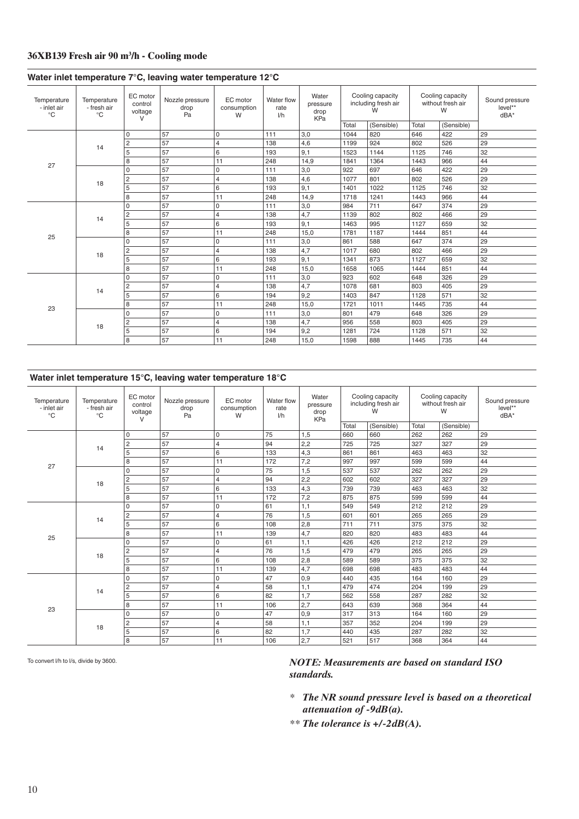#### **36XB139 Fresh air 90 m3 /h - Cooling mode**

| Temperature<br>- inlet air<br>$^{\circ}C$ | Temperature<br>- fresh air<br>$^{\circ}$ C | EC motor<br>control<br>voltage<br>$\vee$ | Nozzle pressure<br>drop<br>Pa | EC motor<br>consumption<br>W | Water flow<br>rate<br>1/h | Water<br>pressure<br>drop<br>KPa | Total | Cooling capacity<br>including fresh air<br>W<br>(Sensible) | Total | Cooling capacity<br>without fresh air<br>W<br>(Sensible) | Sound pressure<br>level**<br>$dBA^*$ |
|-------------------------------------------|--------------------------------------------|------------------------------------------|-------------------------------|------------------------------|---------------------------|----------------------------------|-------|------------------------------------------------------------|-------|----------------------------------------------------------|--------------------------------------|
|                                           |                                            | 0                                        | 57                            | $\mathbf 0$                  | 111                       | 3,0                              | 1044  | 820                                                        | 646   | 422                                                      | 29                                   |
|                                           |                                            | $\overline{c}$                           | 57                            | $\overline{4}$               | 138                       | 4,6                              | 1199  | 924                                                        | 802   | 526                                                      | 29                                   |
|                                           | 14                                         | 5                                        | 57                            | 6                            | 193                       | 9,1                              | 1523  | 1144                                                       | 1125  | 746                                                      | 32                                   |
|                                           |                                            | 8                                        | 57                            | 11                           | 248                       | 14,9                             | 1841  | 1364                                                       | 1443  | 966                                                      | 44                                   |
| 27                                        |                                            | 0                                        | 57                            | $\mathbf 0$                  | 111                       | 3,0                              | 922   | 697                                                        | 646   | 422                                                      | 29                                   |
|                                           |                                            | 2                                        | 57                            | $\overline{4}$               | 138                       | 4,6                              | 1077  | 801                                                        | 802   | 526                                                      | 29                                   |
|                                           | 18                                         | 5                                        | 57                            | 6                            | 193                       | 9,1                              | 1401  | 1022                                                       | 1125  | 746                                                      | 32                                   |
|                                           |                                            | 8                                        | 57                            | 11                           | 248                       | 14,9                             | 1718  | 1241                                                       | 1443  | 966                                                      | 44                                   |
|                                           |                                            | 0                                        | 57                            | $\mathbf 0$                  | 111                       | 3,0                              | 984   | 711                                                        | 647   | 374                                                      | 29                                   |
|                                           |                                            | $\overline{c}$                           | 57                            | $\overline{4}$               | 138                       | 4,7                              | 1139  | 802                                                        | 802   | 466                                                      | 29                                   |
|                                           | 14                                         | 5                                        | 57                            | 6                            | 193                       | 9,1                              | 1463  | 995                                                        | 1127  | 659                                                      | 32                                   |
|                                           |                                            | 8                                        | 57                            | 11                           | 248                       | 15,0                             | 1781  | 1187                                                       | 1444  | 851                                                      | 44                                   |
| 25                                        |                                            | 0                                        | 57                            | $\mathsf 0$                  | 111                       | 3,0                              | 861   | 588                                                        | 647   | 374                                                      | 29                                   |
|                                           |                                            | $\overline{c}$                           | 57                            | $\overline{4}$               | 138                       | 4,7                              | 1017  | 680                                                        | 802   | 466                                                      | 29                                   |
|                                           | 18                                         | 5                                        | 57                            | 6                            | 193                       | 9,1                              | 1341  | 873                                                        | 1127  | 659                                                      | 32                                   |
|                                           |                                            | 8                                        | 57                            | 11                           | 248                       | 15,0                             | 1658  | 1065                                                       | 1444  | 851                                                      | 44                                   |
|                                           |                                            | 0                                        | 57                            | $\mathsf 0$                  | 111                       | 3,0                              | 923   | 602                                                        | 648   | 326                                                      | 29                                   |
|                                           |                                            | $\overline{c}$                           | 57                            | $\overline{4}$               | 138                       | 4,7                              | 1078  | 681                                                        | 803   | 405                                                      | 29                                   |
|                                           | 14                                         | 5                                        | 57                            | 6                            | 194                       | 9,2                              | 1403  | 847                                                        | 1128  | 571                                                      | 32                                   |
|                                           |                                            | 8                                        | 57                            | 11                           | 248                       | 15,0                             | 1721  | 1011                                                       | 1445  | 735                                                      | 44                                   |
| 23                                        |                                            | 0                                        | 57                            | $\mathsf 0$                  | 111                       | 3,0                              | 801   | 479                                                        | 648   | 326                                                      | 29                                   |
|                                           |                                            | $\overline{c}$                           | 57                            | $\overline{4}$               | 138                       | 4,7                              | 956   | 558                                                        | 803   | 405                                                      | 29                                   |
|                                           | 18                                         | 5                                        | 57                            | 6                            | 194                       | 9,2                              | 1281  | 724                                                        | 1128  | 571                                                      | 32                                   |
|                                           |                                            | 8                                        | 57                            | 11                           | 248                       | 15.0                             | 1598  | 888                                                        | 1445  | 735                                                      | 44                                   |

#### **Water inlet temperature 7°C, leaving water temperature 12°C**

#### **Water inlet temperature 15°C, leaving water temperature 18°C**

| Temperature<br>- inlet air<br>$^{\circ}$ C | Temperature<br>- fresh air<br>$^{\circ}C$ | EC motor<br>control<br>voltage<br>$\vee$ | Nozzle pressure<br>drop<br>Pa | EC motor<br>consumption<br>W | Water flow<br>rate<br>1/h | Water<br>pressure<br>drop<br>KPa | Cooling capacity<br>including fresh air<br>W<br>(Sensible)<br>Total |     | Cooling capacity<br>without fresh air<br>W |            | Sound pressure<br>level**<br>dBA* |
|--------------------------------------------|-------------------------------------------|------------------------------------------|-------------------------------|------------------------------|---------------------------|----------------------------------|---------------------------------------------------------------------|-----|--------------------------------------------|------------|-----------------------------------|
|                                            |                                           |                                          |                               |                              |                           |                                  |                                                                     |     | Total                                      | (Sensible) |                                   |
|                                            |                                           | $\mathbf 0$                              | 57                            | 0                            | 75                        | 1,5                              | 660                                                                 | 660 | 262                                        | 262        | 29                                |
|                                            | 14                                        | $\overline{c}$                           | 57                            | $\overline{4}$               | 94                        | 2,2                              | 725                                                                 | 725 | 327                                        | 327        | 29                                |
|                                            |                                           | 5                                        | 57                            | 6                            | 133                       | 4,3                              | 861                                                                 | 861 | 463                                        | 463        | 32                                |
| 27                                         |                                           | 8                                        | 57                            | 11                           | 172                       | 7,2                              | 997                                                                 | 997 | 599                                        | 599        | 44                                |
|                                            |                                           | $\mathbf 0$                              | 57                            | 0                            | 75                        | 1,5                              | 537                                                                 | 537 | 262                                        | 262        | 29                                |
|                                            | 18                                        | $\overline{c}$                           | 57                            | $\overline{4}$               | 94                        | 2,2                              | 602                                                                 | 602 | 327                                        | 327        | 29                                |
|                                            |                                           | 5                                        | 57                            | 6                            | 133                       | 4,3                              | 739                                                                 | 739 | 463                                        | 463        | 32                                |
|                                            |                                           | 8                                        | 57                            | 11                           | 172                       | 7,2                              | 875                                                                 | 875 | 599                                        | 599        | 44                                |
|                                            |                                           | $\mathbf 0$                              | 57                            | 0                            | 61                        | 1,1                              | 549                                                                 | 549 | 212                                        | 212        | 29                                |
|                                            | 14                                        | $\overline{c}$                           | 57                            | $\overline{4}$               | 76                        | 1,5                              | 601                                                                 | 601 | 265                                        | 265        | 29                                |
|                                            |                                           | 5                                        | 57                            | 6                            | 108                       | 2,8                              | 711                                                                 | 711 | 375                                        | 375        | 32                                |
| 25                                         |                                           | 8                                        | 57                            | 11                           | 139                       | 4,7                              | 820                                                                 | 820 | 483                                        | 483        | 44                                |
|                                            |                                           | $\Omega$                                 | 57                            | 0                            | 61                        | 1,1                              | 426                                                                 | 426 | 212                                        | 212        | 29                                |
|                                            | 18                                        | $\overline{c}$                           | 57                            | $\overline{4}$               | 76                        | 1,5                              | 479                                                                 | 479 | 265                                        | 265        | 29                                |
|                                            |                                           | 5                                        | 57                            | 6                            | 108                       | 2,8                              | 589                                                                 | 589 | 375                                        | 375        | 32                                |
|                                            |                                           | 8                                        | 57                            | 11                           | 139                       | 4,7                              | 698                                                                 | 698 | 483                                        | 483        | 44                                |
|                                            |                                           | $\Omega$                                 | 57                            | 0                            | 47                        | 0,9                              | 440                                                                 | 435 | 164                                        | 160        | 29                                |
|                                            |                                           | $\overline{c}$                           | 57                            | $\overline{4}$               | 58                        | 1,1                              | 479                                                                 | 474 | 204                                        | 199        | 29                                |
|                                            | 14                                        | 5                                        | 57                            | 6                            | 82                        | 1,7                              | 562                                                                 | 558 | 287                                        | 282        | 32                                |
| 23                                         |                                           | 8                                        | 57                            | 11                           | 106                       | 2,7                              | 643                                                                 | 639 | 368                                        | 364        | 44                                |
|                                            |                                           | $\mathbf 0$                              | 57                            | $\mathsf 0$                  | 47                        | 0,9                              | 317                                                                 | 313 | 164                                        | 160        | 29                                |
|                                            |                                           | $\overline{2}$                           | 57                            | 4                            | 58                        | 1,1                              | 357                                                                 | 352 | 204                                        | 199        | 29                                |
|                                            | 18                                        | 5                                        | 57                            | 6                            | 82                        | 1,7                              | 440                                                                 | 435 | 287                                        | 282        | 32                                |
|                                            |                                           | 8                                        | 57                            | 11                           | 106                       | 2,7                              | 521                                                                 | 517 | 368                                        | 364        | 44                                |

To convert l/h to l/s, divide by 3600.

- *\* The NR sound pressure level is based on a theoretical attenuation of -9dB(a).*
- *\*\* The tolerance is +/-2dB(A).*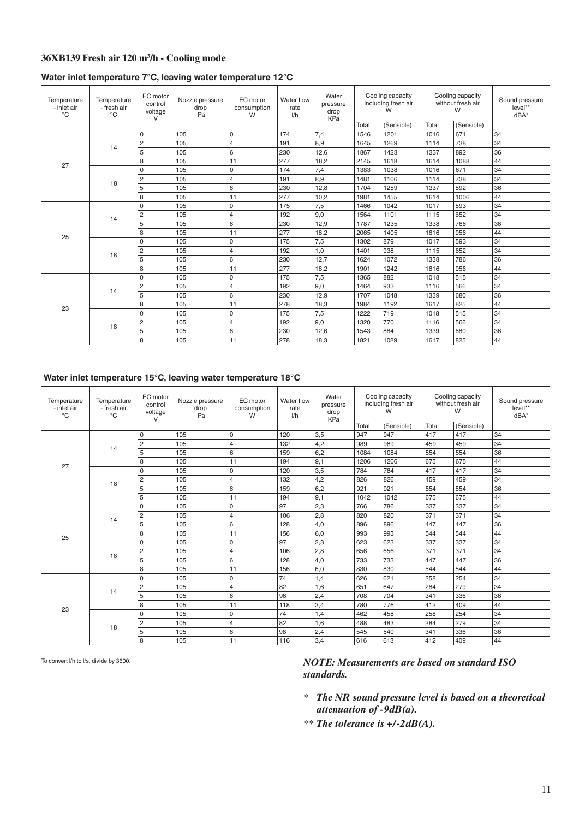#### **36XB139 Fresh air 120 m3 /h - Cooling mode**

|                                            |                                            |                                          | $m$ $\alpha$ $\beta$ $\beta$ $\alpha$ $\beta$ $\beta$ $\alpha$ $\beta$ $\beta$ $\beta$ $\alpha$ $\beta$ $\beta$ $\alpha$ $\beta$ $\beta$ $\alpha$ $\beta$ $\beta$ $\beta$ |                              |                           |                                         |       |                                                            |       |                                                          |                                     |
|--------------------------------------------|--------------------------------------------|------------------------------------------|---------------------------------------------------------------------------------------------------------------------------------------------------------------------------|------------------------------|---------------------------|-----------------------------------------|-------|------------------------------------------------------------|-------|----------------------------------------------------------|-------------------------------------|
| Temperature<br>- inlet air<br>$^{\circ}$ C | Temperature<br>- fresh air<br>$^{\circ}$ C | EC motor<br>control<br>voltage<br>$\vee$ | Nozzle pressure<br>drop<br>Pa                                                                                                                                             | EC motor<br>consumption<br>W | Water flow<br>rate<br>1/h | Water<br>pressure<br>drop<br><b>KPa</b> | Total | Cooling capacity<br>including fresh air<br>W<br>(Sensible) | Total | Cooling capacity<br>without fresh air<br>W<br>(Sensible) | Sound pressure<br>level**<br>$dBA*$ |
|                                            |                                            | $\mathbf 0$                              | 105                                                                                                                                                                       | 0                            | 174                       | 7,4                                     | 1546  | 1201                                                       | 1016  | 671                                                      | 34                                  |
|                                            |                                            | $\overline{c}$                           | 105                                                                                                                                                                       | $\overline{4}$               | 191                       | 8,9                                     | 1645  | 1269                                                       | 1114  | 738                                                      | 34                                  |
|                                            | 14                                         | 5                                        | 105                                                                                                                                                                       | 6                            | 230                       | 12,6                                    | 1867  | 1423                                                       | 1337  | 892                                                      | 36                                  |
|                                            |                                            | 8                                        | 105                                                                                                                                                                       | 11                           | 277                       | 18,2                                    | 2145  | 1618                                                       | 1614  | 1088                                                     | 44                                  |
| 27                                         |                                            | $\Omega$                                 | 105                                                                                                                                                                       | 0                            | 174                       | 7,4                                     | 1383  | 1038                                                       | 1016  | 671                                                      | 34                                  |
|                                            |                                            | $\overline{c}$                           | 105                                                                                                                                                                       | $\overline{4}$               | 191                       | 8,9                                     | 1481  | 1106                                                       | 1114  | 738                                                      | 34                                  |
|                                            | 18                                         | 5                                        | 105                                                                                                                                                                       | 6                            | 230                       | 12,8                                    | 1704  | 1259                                                       | 1337  | 892                                                      | 36                                  |
|                                            |                                            | 8                                        | 105                                                                                                                                                                       | 11                           | 277                       | 10,2                                    | 1981  | 1455                                                       | 1614  | 1006                                                     | 44                                  |
|                                            |                                            | $\Omega$                                 | 105                                                                                                                                                                       | 0                            | 175                       | 7,5                                     | 1466  | 1042                                                       | 1017  | 593                                                      | 34                                  |
|                                            | 14                                         | $\overline{c}$                           | 105                                                                                                                                                                       | 4                            | 192                       | 9,0                                     | 1564  | 1101                                                       | 1115  | 652                                                      | 34                                  |
|                                            |                                            | 5                                        | 105                                                                                                                                                                       | 6                            | 230                       | 12,9                                    | 1787  | 1235                                                       | 1338  | 766                                                      | 36                                  |
|                                            |                                            | 8                                        | 105                                                                                                                                                                       | 11                           | 277                       | 18,2                                    | 2065  | 1405                                                       | 1616  | 956                                                      | 44                                  |
| 25                                         |                                            | 0                                        | 105                                                                                                                                                                       | 0                            | 175                       | 7,5                                     | 1302  | 879                                                        | 1017  | 593                                                      | 34                                  |
|                                            |                                            | $\overline{2}$                           | 105                                                                                                                                                                       | $\overline{4}$               | 192                       | 1,0                                     | 1401  | 938                                                        | 1115  | 652                                                      | 34                                  |
|                                            | 18                                         | 5                                        | 105                                                                                                                                                                       | 6                            | 230                       | 12,7                                    | 1624  | 1072                                                       | 1338  | 786                                                      | 36                                  |
|                                            |                                            | 8                                        | 105                                                                                                                                                                       | 11                           | 277                       | 18,2                                    | 1901  | 1242                                                       | 1616  | 956                                                      | 44                                  |
|                                            |                                            | $\Omega$                                 | 105                                                                                                                                                                       | 0                            | 175                       | 7,5                                     | 1365  | 882                                                        | 1018  | 515                                                      | 34                                  |
|                                            | 14                                         | $\overline{c}$                           | 105                                                                                                                                                                       | $\overline{4}$               | 192                       | 9,0                                     | 1464  | 933                                                        | 1116  | 566                                                      | 34                                  |
|                                            |                                            | 5                                        | 105                                                                                                                                                                       | 6                            | 230                       | 12,9                                    | 1707  | 1048                                                       | 1339  | 680                                                      | 36                                  |
| 23                                         |                                            | 8                                        | 105                                                                                                                                                                       | 11                           | 278                       | 18,3                                    | 1984  | 1192                                                       | 1617  | 825                                                      | 44                                  |
|                                            |                                            | $\Omega$                                 | 105                                                                                                                                                                       | 0                            | 175                       | 7,5                                     | 1222  | 719                                                        | 1018  | 515                                                      | 34                                  |
|                                            | 18                                         | $\overline{c}$                           | 105                                                                                                                                                                       | $\overline{4}$               | 192                       | 9,0                                     | 1320  | 770                                                        | 1116  | 566                                                      | 34                                  |
|                                            |                                            | 5                                        | 105                                                                                                                                                                       | 6                            | 230                       | 12,6                                    | 1543  | 884                                                        | 1339  | 680                                                      | 36                                  |
|                                            |                                            | 8                                        | 105                                                                                                                                                                       | 11                           | 278                       | 18,3                                    | 1821  | 1029                                                       | 1617  | 825                                                      | 44                                  |
|                                            |                                            |                                          |                                                                                                                                                                           |                              |                           |                                         |       |                                                            |       |                                                          |                                     |

#### **Water inlet temperature 7°C, leaving water temperature 12°C**

#### **Water inlet temperature 15°C, leaving water temperature 18°C**

| Temperature<br>- inlet air<br>$^{\circ}C$ | Temperature<br>- fresh air<br>$^{\circ}$ C | EC motor<br>control<br>voltage<br>$\vee$ | Nozzle pressure<br>drop<br>Pa | EC motor<br>consumption<br>W | Water flow<br>rate<br>1/h | Water<br>pressure<br>drop<br><b>KPa</b> | Cooling capacity<br>including fresh air<br>W<br>Total |            | Cooling capacity<br>without fresh air<br>W |            | Sound pressure<br>level**<br>$dBA*$ |
|-------------------------------------------|--------------------------------------------|------------------------------------------|-------------------------------|------------------------------|---------------------------|-----------------------------------------|-------------------------------------------------------|------------|--------------------------------------------|------------|-------------------------------------|
|                                           |                                            |                                          |                               |                              |                           |                                         |                                                       | (Sensible) | Total                                      | (Sensible) |                                     |
|                                           |                                            | $\Omega$                                 | 105                           | 0                            | 120                       | 3,5                                     | 947                                                   | 947        | 417                                        | 417        | 34                                  |
|                                           | 14                                         | $\overline{c}$                           | 105                           | 4                            | 132                       | 4,2                                     | 989                                                   | 989        | 459                                        | 459        | 34                                  |
|                                           |                                            | 5                                        | 105                           | 6                            | 159                       | 6,2                                     | 1084                                                  | 1084       | 554                                        | 554        | 36                                  |
| 27                                        |                                            | 8                                        | 105                           | 11                           | 194                       | 9,1                                     | 1206                                                  | 1206       | 675                                        | 675        | 44                                  |
|                                           |                                            | $\Omega$                                 | 105                           | 0                            | 120                       | 3,5                                     | 784                                                   | 784        | 417                                        | 417        | 34                                  |
|                                           | 18                                         | 2                                        | 105                           | 4                            | 132                       | 4,2                                     | 826                                                   | 826        | 459                                        | 459        | 34                                  |
|                                           |                                            | 5                                        | 105                           | 6                            | 159                       | 6,2                                     | 921                                                   | 921        | 554                                        | 554        | 36                                  |
|                                           |                                            | 5                                        | 105                           | 11                           | 194                       | 9,1                                     | 1042                                                  | 1042       | 675                                        | 675        | 44                                  |
|                                           |                                            | $\Omega$                                 | 105                           | $\mathbf 0$                  | 97                        | 2,3                                     | 766                                                   | 786        | 337                                        | 337        | 34                                  |
|                                           | 14                                         | $\overline{c}$                           | 105                           | 4                            | 106                       | 2,8                                     | 820                                                   | 820        | 371                                        | 371        | 34                                  |
|                                           |                                            | 5                                        | 105                           | 6                            | 128                       | 4,0                                     | 896                                                   | 896        | 447                                        | 447        | 36                                  |
| 25                                        |                                            | 8                                        | 105                           | 11                           | 156                       | 6,0                                     | 993                                                   | 993        | 544                                        | 544        | 44                                  |
|                                           |                                            | $\Omega$                                 | 105                           | 0                            | 97                        | 2,3                                     | 623                                                   | 623        | 337                                        | 337        | 34                                  |
|                                           | 18                                         | $\overline{c}$                           | 105                           | $\overline{4}$               | 106                       | 2,8                                     | 656                                                   | 656        | 371                                        | 371        | 34                                  |
|                                           |                                            | 5                                        | 105                           | 6                            | 128                       | 4,0                                     | 733                                                   | 733        | 447                                        | 447        | 36                                  |
|                                           |                                            | 8                                        | 105                           | 11                           | 156                       | 6,0                                     | 830                                                   | 830        | 544                                        | 544        | 44                                  |
|                                           |                                            | $\Omega$                                 | 105                           | $\mathbf 0$                  | 74                        | 1,4                                     | 626                                                   | 621        | 258                                        | 254        | 34                                  |
|                                           |                                            | $\overline{2}$                           | 105                           | $\overline{4}$               | 82                        | 1,6                                     | 651                                                   | 647        | 284                                        | 279        | 34                                  |
|                                           | 14                                         | 5                                        | 105                           | 6                            | 96                        | 2,4                                     | 708                                                   | 704        | 341                                        | 336        | 36                                  |
|                                           |                                            | 8                                        | 105                           | 11                           | 118                       | 3,4                                     | 780                                                   | 776        | 412                                        | 409        | 44                                  |
| 23                                        |                                            | $\mathbf 0$                              | 105                           | 0                            | 74                        | 1,4                                     | 462                                                   | 458        | 258                                        | 254        | 34                                  |
|                                           |                                            | $\overline{c}$                           | 105                           | 4                            | 82                        | 1,6                                     | 488                                                   | 483        | 284                                        | 279        | 34                                  |
|                                           | 18                                         | 5                                        | 105                           | 6                            | 98                        | 2,4                                     | 545                                                   | 540        | 341                                        | 336        | 36                                  |
|                                           |                                            | 8                                        | 105                           | 11                           | 116                       | 3,4                                     | 616                                                   | 613        | 412                                        | 409        | 44                                  |

To convert l/h to l/s, divide by 3600.

- *\* The NR sound pressure level is based on a theoretical attenuation of -9dB(a).*
- *\*\* The tolerance is +/-2dB(A).*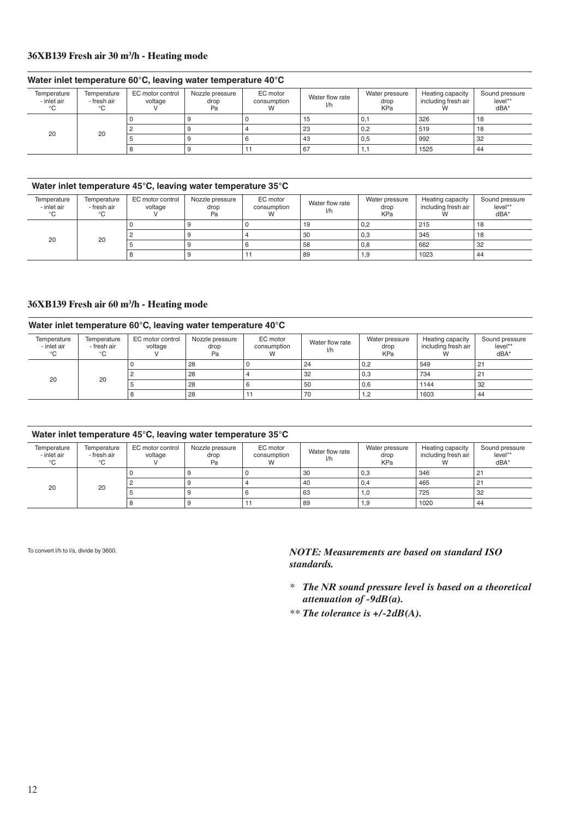#### **36XB139 Fresh air 30 m3 /h - Heating mode**

#### **Water inlet temperature 60°C, leaving water temperature 40°C**

| Temperature<br>- inlet air<br>°C | Temperature<br>- fresh air<br>℃ | EC motor control<br>voltage | Nozzle pressure<br>drop<br>Pa | EC motor<br>consumption | Water flow rate<br>l/h | Water pressure<br>drop<br><b>KPa</b> | Heating capacity<br>including fresh air | Sound pressure<br>level**<br>dBA* |
|----------------------------------|---------------------------------|-----------------------------|-------------------------------|-------------------------|------------------------|--------------------------------------|-----------------------------------------|-----------------------------------|
|                                  |                                 |                             |                               |                         | 15                     | 0,1                                  | 326                                     | 18                                |
| 20                               | 20                              |                             |                               |                         | 23                     | 0,2                                  | 519                                     | 18                                |
|                                  |                                 |                             |                               |                         | 43                     | 0,5                                  | 992                                     | 32                                |
|                                  |                                 |                             |                               |                         | 67                     | . .                                  | 1525                                    | 44                                |

#### **Water inlet temperature 45°C, leaving water temperature 35°C**

| Temperature<br>- inlet air<br>°C | Temperature<br>- fresh air<br>℃ | EC motor control<br>voltage | Nozzle pressure<br>drop<br>Pa | EC motor<br>consumption<br>v v | Water flow rate<br>l/h | Water pressure<br>drop<br><b>KPa</b> | Heating capacity<br>including fresh air | Sound pressure<br>level**<br>dBA' |
|----------------------------------|---------------------------------|-----------------------------|-------------------------------|--------------------------------|------------------------|--------------------------------------|-----------------------------------------|-----------------------------------|
|                                  |                                 |                             |                               |                                | 19                     | 0,2                                  | 215                                     | 18                                |
|                                  |                                 |                             |                               |                                | 30                     | 0,3                                  | 345                                     | 18                                |
| 20                               | 20                              |                             |                               |                                | 58                     | 0,8                                  | 662                                     | 32                                |
|                                  |                                 |                             |                               |                                | 89                     | 1,9                                  | 1023                                    | 44                                |

#### **36XB139 Fresh air 60 m3 /h - Heating mode**

#### **Water inlet temperature 60°C, leaving water temperature 40°C**

| Temperature<br>- inlet air<br>°C | Temperature<br>- fresh air<br>°C. | EC motor control<br>voltage | Nozzle pressure<br>drop<br>Pa | EC motor<br>consumption<br>W | Water flow rate<br>1/h | Water pressure<br>drop<br>KPa | Heating capacity<br>including fresh air | Sound pressure<br>level**<br>$dBA*$ |
|----------------------------------|-----------------------------------|-----------------------------|-------------------------------|------------------------------|------------------------|-------------------------------|-----------------------------------------|-------------------------------------|
| 20                               | 20                                |                             | 28                            |                              | 24                     | 0,2                           | 549                                     | 21                                  |
|                                  |                                   |                             | 28                            |                              | -32                    | 0,3                           | 734                                     | 21                                  |
|                                  |                                   |                             | 28                            |                              | 50                     | 0,6                           | 1144                                    | 32                                  |
|                                  |                                   |                             | 28                            |                              | 70                     | 1,2                           | 1603                                    | 44                                  |

#### **Water inlet temperature 45°C, leaving water temperature 35°C**

| Temperature<br>- inlet air<br>°C | Temperature<br>- fresh air<br>°C | EC motor control<br>voltage | Nozzle pressure<br>drop<br>Pa | EC motor<br>consumption<br>W | Water flow rate<br>I/h | Water pressure<br>drop<br><b>KPa</b> | Heating capacity<br>including fresh air | Sound pressure<br>level**<br>dBA* |
|----------------------------------|----------------------------------|-----------------------------|-------------------------------|------------------------------|------------------------|--------------------------------------|-----------------------------------------|-----------------------------------|
|                                  |                                  |                             |                               |                              |                        |                                      |                                         |                                   |
| 20                               | 20                               |                             |                               |                              | 30                     | 0,3                                  | 346                                     | 21                                |
|                                  |                                  |                             |                               |                              | -40                    | 0.4                                  | 465                                     | 21                                |
|                                  |                                  |                             |                               |                              | 63                     | 1.0                                  | 725                                     | 32                                |
|                                  |                                  |                             |                               |                              | 89                     | 1,9                                  | 1020                                    | 44                                |

To convert l/h to l/s, divide by 3600.

- *\* The NR sound pressure level is based on a theoretical attenuation of -9dB(a).*
- *\*\* The tolerance is +/-2dB(A).*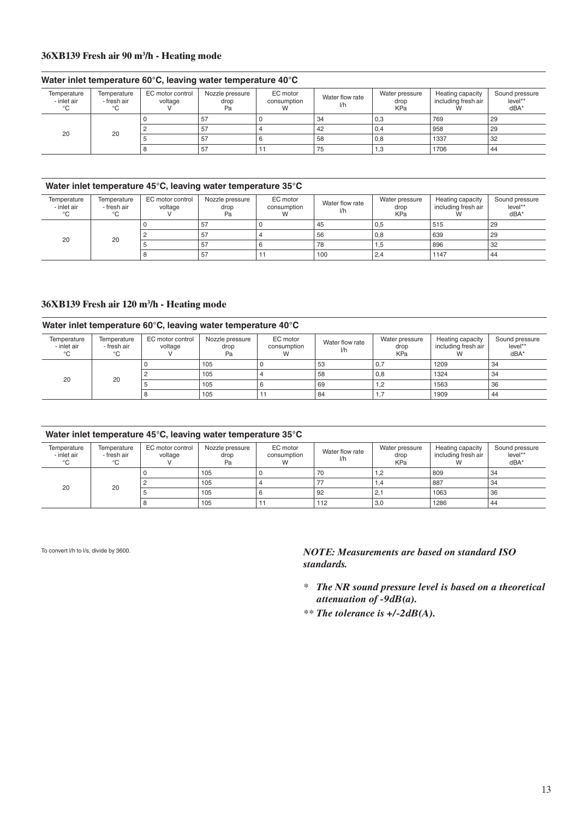#### **36XB139 Fresh air 90 m3 /h - Heating mode**

#### **Water inlet temperature 60°C, leaving water temperature 40°C**

| Temperature<br>- inlet air | Temperature<br>- fresh air<br>°C | EC motor control<br>voltage | Nozzle pressure<br>drop<br>Pa | EC motor<br>consumption | Water flow rate<br>I/h | Water pressure<br>drop<br><b>KPa</b> | Heating capacity<br>including fresh air | Sound pressure<br>level**<br>$dBA^*$ |
|----------------------------|----------------------------------|-----------------------------|-------------------------------|-------------------------|------------------------|--------------------------------------|-----------------------------------------|--------------------------------------|
| 20                         | 20                               |                             | 57                            |                         | 34                     | 0,3                                  | 769                                     | 29                                   |
|                            |                                  |                             | 57                            |                         | 42                     | 0.4                                  | 958                                     | 29                                   |
|                            |                                  |                             | 57                            |                         | 58                     | 0,8                                  | 1337                                    | 32                                   |
|                            |                                  |                             | 57                            |                         | 75                     | 1,3                                  | 1706                                    | 44                                   |

#### **Water inlet temperature 45°C, leaving water temperature 35°C**

| Temperature<br>- inlet air<br>$\sim$ | Temperature<br>- fresh air<br>°C | EC motor control<br>voltage | Nozzle pressure<br>drop<br>Pa | EC motor<br>consumption | Water flow rate<br>l/h | Water pressure<br>drop<br><b>KPa</b> | Heating capacity<br>including fresh air | Sound pressure<br>level**<br>$dBA*$ |
|--------------------------------------|----------------------------------|-----------------------------|-------------------------------|-------------------------|------------------------|--------------------------------------|-----------------------------------------|-------------------------------------|
| 20                                   | 20                               |                             | 57                            |                         | 45                     | 0,5                                  | 515                                     | 29                                  |
|                                      |                                  |                             | 57                            |                         | 56                     | 0,8                                  | 639                                     | 29                                  |
|                                      |                                  |                             | 57                            |                         | 78                     | 1,5                                  | 896                                     | 32                                  |
|                                      |                                  |                             | 57                            |                         | 100                    | 2,4                                  | 1147                                    | 44                                  |

#### **36XB139 Fresh air 120 m3 /h - Heating mode**

#### **Water inlet temperature 60°C, leaving water temperature 40°C**

| Temperature<br>- inlet air<br>°C | Temperature<br>- fresh air<br>°C | EC motor control<br>voltage | Nozzle pressure<br>drop<br>Pa | EC motor<br>consumption<br>W | Water flow rate<br>1/h | Water pressure<br>drop<br><b>KPa</b> | Heating capacity<br>including fresh air | Sound pressure<br>level**<br>dBA* |
|----------------------------------|----------------------------------|-----------------------------|-------------------------------|------------------------------|------------------------|--------------------------------------|-----------------------------------------|-----------------------------------|
| 20                               | 20                               |                             | 105                           |                              | 53                     | 0,7                                  | 1209                                    | 34                                |
|                                  |                                  |                             | 105                           |                              | 58                     | 0,8                                  | 1324                                    | 34                                |
|                                  |                                  |                             | 105                           |                              | 69                     | 1,2                                  | 1563                                    | 36                                |
|                                  |                                  |                             | 105                           |                              | 84                     | 1,1                                  | 1909                                    | 44                                |

#### **Water inlet temperature 45°C, leaving water temperature 35°C**

|                                  |                                  |                             | .                             |                         |                        |                                      |                                         |                                               |
|----------------------------------|----------------------------------|-----------------------------|-------------------------------|-------------------------|------------------------|--------------------------------------|-----------------------------------------|-----------------------------------------------|
| Temperature<br>- inlet air<br>°C | Temperature<br>- fresh air<br>°C | EC motor control<br>voltage | Nozzle pressure<br>drop<br>Pa | EC motor<br>consumption | Water flow rate<br>1/h | Water pressure<br>drop<br><b>KPa</b> | Heating capacity<br>including fresh air | Sound pressure<br>level**<br>dBA <sup>*</sup> |
| 20                               | 20                               |                             | 105                           |                         | 70                     | 1,2                                  | 809                                     | 34                                            |
|                                  |                                  |                             | 105                           |                         | 77                     | 1.4                                  | 887                                     | 34                                            |
|                                  |                                  |                             | 105                           | o                       | 92                     | 2.7                                  | 1063                                    | 36                                            |
|                                  |                                  |                             | 105                           |                         | 112                    | 3,0                                  | 1286                                    | 44                                            |

To convert l/h to l/s, divide by 3600.

- *\* The NR sound pressure level is based on a theoretical attenuation of -9dB(a).*
- *\*\* The tolerance is +/-2dB(A).*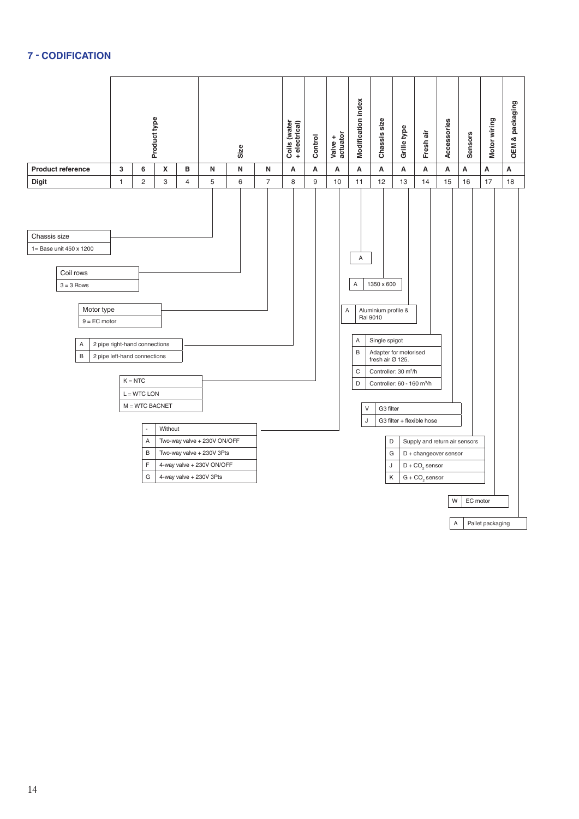#### **7 - Codification**